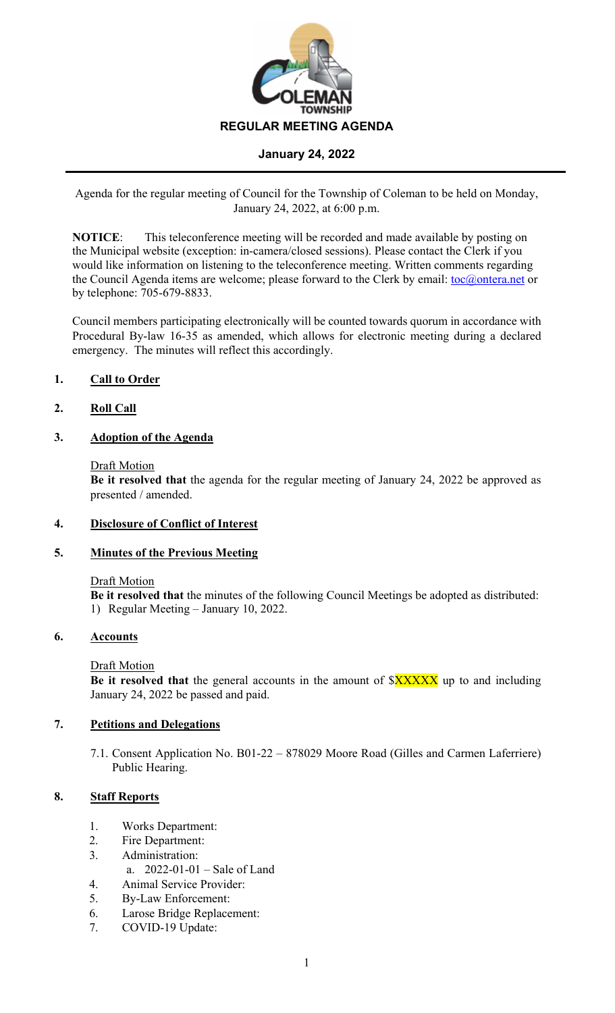

Agenda for the regular meeting of Council for the Township of Coleman to be held on Monday, January 24, 2022, at 6:00 p.m.

**NOTICE:** This teleconference meeting will be recorded and made available by posting on the Municipal website (exception: in-camera/closed sessions). Please contact the Clerk if you would like information on listening to the teleconference meeting. Written comments regarding the Council Agenda items are welcome; please forward to the Clerk by email: toc@ontera.net or by telephone: 705-679-8833.

Council members participating electronically will be counted towards quorum in accordance with Procedural By-law 16-35 as amended, which allows for electronic meeting during a declared emergency. The minutes will reflect this accordingly.

# **1. Call to Order**

# **2. Roll Call**

## **3. Adoption of the Agenda**

### Draft Motion

**Be it resolved that** the agenda for the regular meeting of January 24, 2022 be approved as presented / amended.

## **4. Disclosure of Conflict of Interest**

## **5. Minutes of the Previous Meeting**

### Draft Motion

**Be it resolved that** the minutes of the following Council Meetings be adopted as distributed: 1) Regular Meeting – January 10, 2022.

## **6. Accounts**

## Draft Motion

**Be it resolved that** the general accounts in the amount of  $\frac{3XXXX}{X}$  up to and including January 24, 2022 be passed and paid.

## **7. Petitions and Delegations**

7.1. Consent Application No. B01-22 – 878029 Moore Road (Gilles and Carmen Laferriere) Public Hearing.

# **8. Staff Reports**

- 1. Works Department:
- 2. Fire Department:
- 3. Administration:
	- a. 2022-01-01 Sale of Land
- 4. Animal Service Provider:
- 5. By-Law Enforcement:
- 6. Larose Bridge Replacement:
- 7. COVID-19 Update: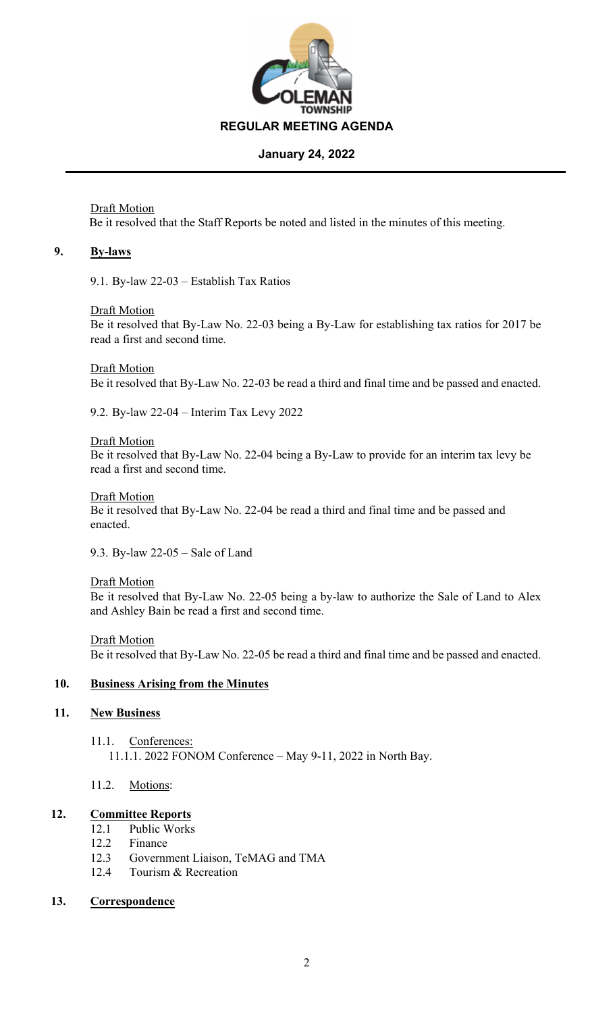

Draft Motion Be it resolved that the Staff Reports be noted and listed in the minutes of this meeting.

### **9. By-laws**

9.1. By-law 22-03 – Establish Tax Ratios

### Draft Motion

Be it resolved that By-Law No. 22-03 being a By-Law for establishing tax ratios for 2017 be read a first and second time.

### Draft Motion

Be it resolved that By-Law No. 22-03 be read a third and final time and be passed and enacted.

9.2. By-law 22-04 – Interim Tax Levy 2022

### Draft Motion

Be it resolved that By-Law No. 22-04 being a By-Law to provide for an interim tax levy be read a first and second time.

### Draft Motion

Be it resolved that By-Law No. 22-04 be read a third and final time and be passed and enacted.

9.3. By-law 22-05 – Sale of Land

### Draft Motion

Be it resolved that By-Law No. 22-05 being a by-law to authorize the Sale of Land to Alex and Ashley Bain be read a first and second time.

# Draft Motion

Be it resolved that By-Law No. 22-05 be read a third and final time and be passed and enacted.

# **10. Business Arising from the Minutes**

## **11. New Business**

11.1. Conferences: 11.1.1. 2022 FONOM Conference – May 9-11, 2022 in North Bay.

## 11.2. Motions:

# **12. Committee Reports**

- 12.1 Public Works
- 12.2 Finance
- 12.3 Government Liaison, TeMAG and TMA
- 12.4 Tourism & Recreation

# **13. Correspondence**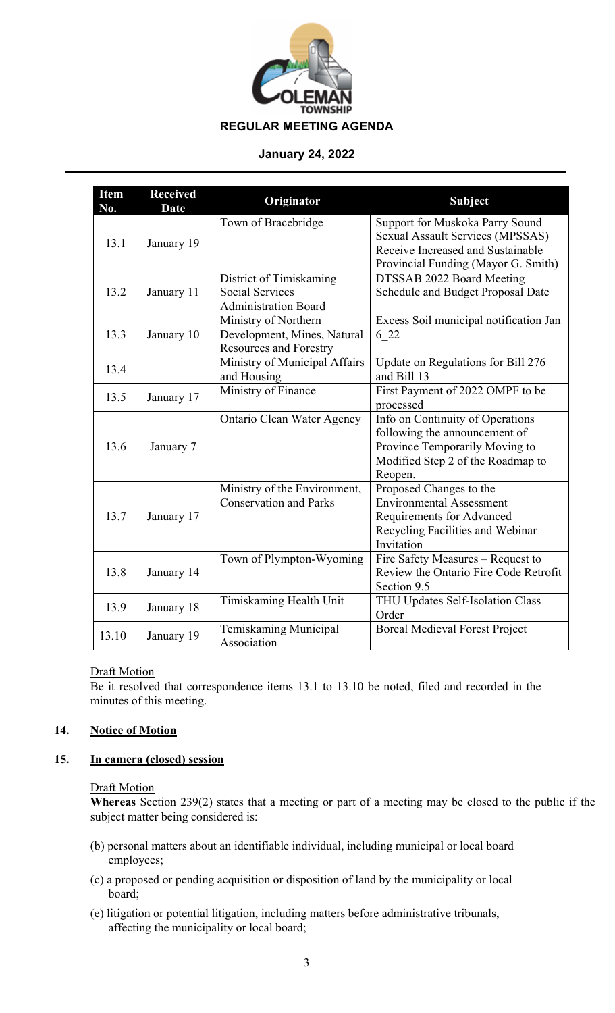

| <b>Item</b><br>No. | <b>Received</b><br><b>Date</b> | Originator                                                                           | <b>Subject</b>                                                                                                                                         |
|--------------------|--------------------------------|--------------------------------------------------------------------------------------|--------------------------------------------------------------------------------------------------------------------------------------------------------|
| 13.1               | January 19                     | Town of Bracebridge                                                                  | Support for Muskoka Parry Sound<br><b>Sexual Assault Services (MPSSAS)</b><br>Receive Increased and Sustainable<br>Provincial Funding (Mayor G. Smith) |
| 13.2               | January 11                     | District of Timiskaming<br><b>Social Services</b><br><b>Administration Board</b>     | DTSSAB 2022 Board Meeting<br>Schedule and Budget Proposal Date                                                                                         |
| 13.3               | January 10                     | Ministry of Northern<br>Development, Mines, Natural<br><b>Resources and Forestry</b> | Excess Soil municipal notification Jan<br>6 22                                                                                                         |
| 13.4               |                                | Ministry of Municipal Affairs<br>and Housing                                         | Update on Regulations for Bill 276<br>and Bill 13                                                                                                      |
| 13.5               | January 17                     | Ministry of Finance                                                                  | First Payment of 2022 OMPF to be<br>processed                                                                                                          |
| 13.6               | January 7                      | Ontario Clean Water Agency                                                           | Info on Continuity of Operations<br>following the announcement of<br>Province Temporarily Moving to<br>Modified Step 2 of the Roadmap to<br>Reopen.    |
| 13.7               | January 17                     | Ministry of the Environment,<br><b>Conservation and Parks</b>                        | Proposed Changes to the<br><b>Environmental Assessment</b><br>Requirements for Advanced<br>Recycling Facilities and Webinar<br>Invitation              |
| 13.8               | January 14                     | Town of Plympton-Wyoming                                                             | Fire Safety Measures - Request to<br>Review the Ontario Fire Code Retrofit<br>Section 9.5                                                              |
| 13.9               | January 18                     | Timiskaming Health Unit                                                              | THU Updates Self-Isolation Class<br>Order                                                                                                              |
| 13.10              | January 19                     | Temiskaming Municipal<br>Association                                                 | <b>Boreal Medieval Forest Project</b>                                                                                                                  |

## **Draft Motion**

Be it resolved that correspondence items 13.1 to 13.10 be noted, filed and recorded in the minutes of this meeting.

# **14. Notice of Motion**

## **15. In camera (closed) session**

# Draft Motion

**Whereas** Section 239(2) states that a meeting or part of a meeting may be closed to the public if the subject matter being considered is:

- (b) personal matters about an identifiable individual, including municipal or local board employees;
- (c) a proposed or pending acquisition or disposition of land by the municipality or local board;
- (e) litigation or potential litigation, including matters before administrative tribunals, affecting the municipality or local board;